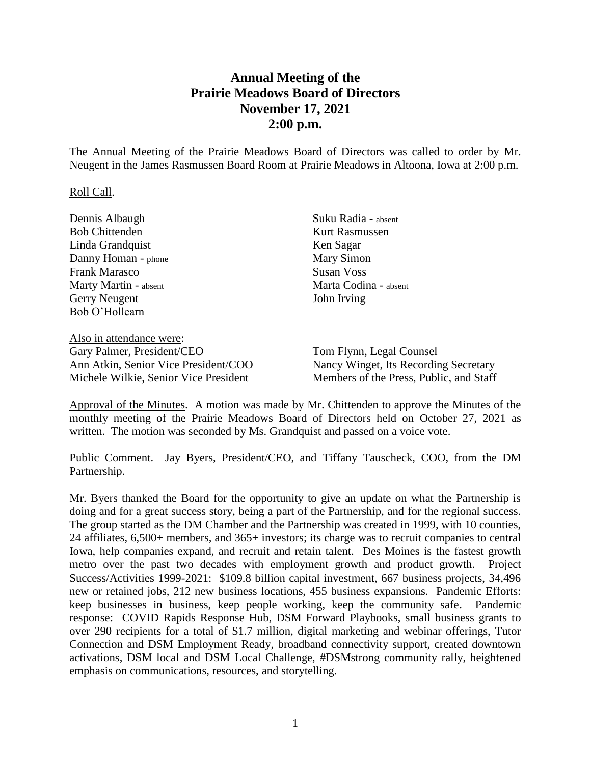## **Annual Meeting of the Prairie Meadows Board of Directors November 17, 2021 2:00 p.m.**

The Annual Meeting of the Prairie Meadows Board of Directors was called to order by Mr. Neugent in the James Rasmussen Board Room at Prairie Meadows in Altoona, Iowa at 2:00 p.m.

## Roll Call.

| Dennis Albaugh           | Suku Radia - absent   |
|--------------------------|-----------------------|
| <b>Bob Chittenden</b>    | <b>Kurt Rasmussen</b> |
| Linda Grandquist         | Ken Sagar             |
| Danny Homan - phone      | Mary Simon            |
| <b>Frank Marasco</b>     | <b>Susan Voss</b>     |
| Marty Martin - absent    | Marta Codina - absent |
| Gerry Neugent            | John Irving           |
| Bob O'Hollearn           |                       |
|                          |                       |
| Also in attendance were: |                       |

Gary Palmer, President/CEO Ann Atkin, Senior Vice President/COO Michele Wilkie, Senior Vice President

Tom Flynn, Legal Counsel Nancy Winget, Its Recording Secretary Members of the Press, Public, and Staff

Approval of the Minutes. A motion was made by Mr. Chittenden to approve the Minutes of the monthly meeting of the Prairie Meadows Board of Directors held on October 27, 2021 as written. The motion was seconded by Ms. Grandquist and passed on a voice vote.

Public Comment. Jay Byers, President/CEO, and Tiffany Tauscheck, COO, from the DM Partnership.

Mr. Byers thanked the Board for the opportunity to give an update on what the Partnership is doing and for a great success story, being a part of the Partnership, and for the regional success. The group started as the DM Chamber and the Partnership was created in 1999, with 10 counties, 24 affiliates, 6,500+ members, and 365+ investors; its charge was to recruit companies to central Iowa, help companies expand, and recruit and retain talent. Des Moines is the fastest growth metro over the past two decades with employment growth and product growth. Project Success/Activities 1999-2021: \$109.8 billion capital investment, 667 business projects, 34,496 new or retained jobs, 212 new business locations, 455 business expansions. Pandemic Efforts: keep businesses in business, keep people working, keep the community safe. Pandemic response: COVID Rapids Response Hub, DSM Forward Playbooks, small business grants to over 290 recipients for a total of \$1.7 million, digital marketing and webinar offerings, Tutor Connection and DSM Employment Ready, broadband connectivity support, created downtown activations, DSM local and DSM Local Challenge, #DSMstrong community rally, heightened emphasis on communications, resources, and storytelling.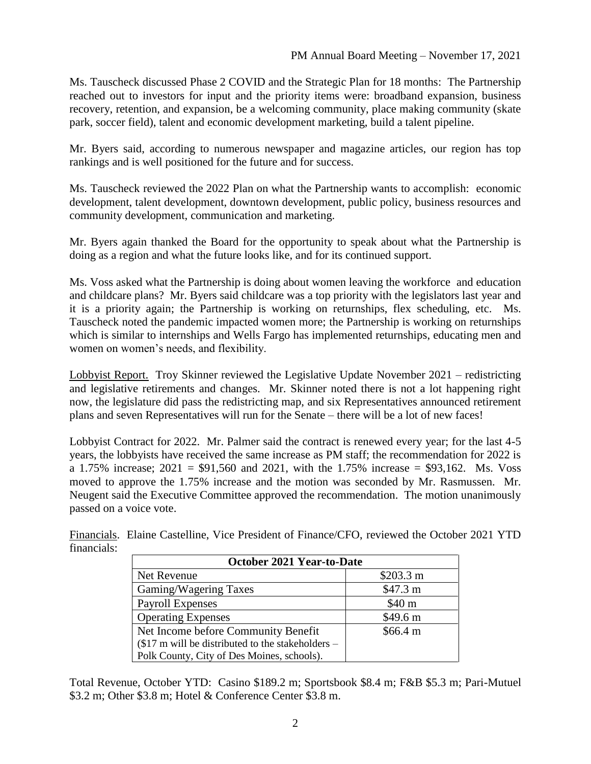Ms. Tauscheck discussed Phase 2 COVID and the Strategic Plan for 18 months: The Partnership reached out to investors for input and the priority items were: broadband expansion, business recovery, retention, and expansion, be a welcoming community, place making community (skate park, soccer field), talent and economic development marketing, build a talent pipeline.

Mr. Byers said, according to numerous newspaper and magazine articles, our region has top rankings and is well positioned for the future and for success.

Ms. Tauscheck reviewed the 2022 Plan on what the Partnership wants to accomplish: economic development, talent development, downtown development, public policy, business resources and community development, communication and marketing.

Mr. Byers again thanked the Board for the opportunity to speak about what the Partnership is doing as a region and what the future looks like, and for its continued support.

Ms. Voss asked what the Partnership is doing about women leaving the workforce and education and childcare plans? Mr. Byers said childcare was a top priority with the legislators last year and it is a priority again; the Partnership is working on returnships, flex scheduling, etc. Ms. Tauscheck noted the pandemic impacted women more; the Partnership is working on returnships which is similar to internships and Wells Fargo has implemented returnships, educating men and women on women's needs, and flexibility.

Lobbyist Report. Troy Skinner reviewed the Legislative Update November 2021 – redistricting and legislative retirements and changes. Mr. Skinner noted there is not a lot happening right now, the legislature did pass the redistricting map, and six Representatives announced retirement plans and seven Representatives will run for the Senate – there will be a lot of new faces!

Lobbyist Contract for 2022. Mr. Palmer said the contract is renewed every year; for the last 4-5 years, the lobbyists have received the same increase as PM staff; the recommendation for 2022 is a 1.75% increase;  $2021 = $91,560$  and  $2021$ , with the 1.75% increase = \$93,162. Ms. Voss moved to approve the 1.75% increase and the motion was seconded by Mr. Rasmussen. Mr. Neugent said the Executive Committee approved the recommendation. The motion unanimously passed on a voice vote.

Financials. Elaine Castelline, Vice President of Finance/CFO, reviewed the October 2021 YTD financials:

| <b>October 2021 Year-to-Date</b>                   |                   |  |
|----------------------------------------------------|-------------------|--|
| Net Revenue                                        | \$203.3 m         |  |
| Gaming/Wagering Taxes                              | \$47.3 m          |  |
| <b>Payroll Expenses</b>                            | \$40 <sub>m</sub> |  |
| <b>Operating Expenses</b>                          | \$49.6 m          |  |
| Net Income before Community Benefit                | \$66.4 m          |  |
| $\$17$ m will be distributed to the stakeholders – |                   |  |
| Polk County, City of Des Moines, schools).         |                   |  |

Total Revenue, October YTD: Casino \$189.2 m; Sportsbook \$8.4 m; F&B \$5.3 m; Pari-Mutuel \$3.2 m; Other \$3.8 m; Hotel & Conference Center \$3.8 m.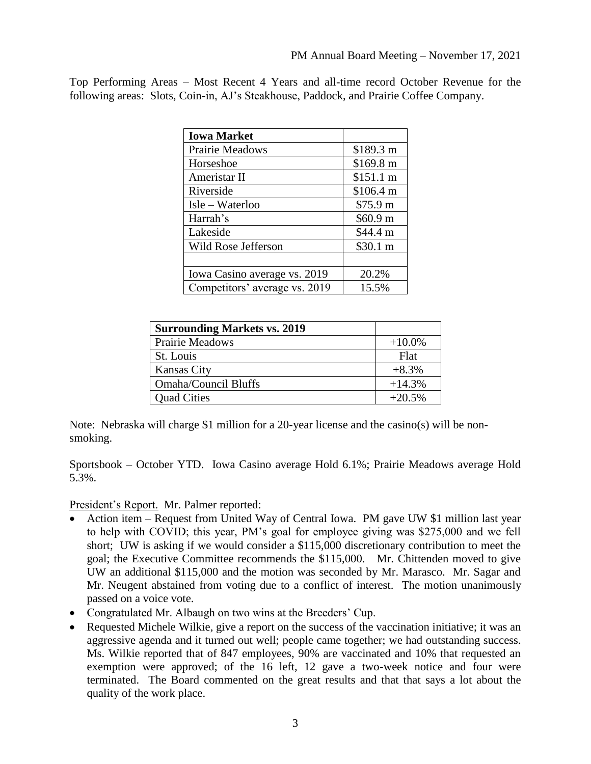Top Performing Areas – Most Recent 4 Years and all-time record October Revenue for the following areas: Slots, Coin-in, AJ's Steakhouse, Paddock, and Prairie Coffee Company.

| <b>Iowa Market</b>            |           |
|-------------------------------|-----------|
| Prairie Meadows               | \$189.3 m |
| Horseshoe                     | \$169.8 m |
| Ameristar II                  | \$151.1 m |
| Riverside                     | \$106.4 m |
| Isle – Waterloo               | \$75.9 m  |
| Harrah's                      | \$60.9 m  |
| Lakeside                      | \$44.4 m  |
| Wild Rose Jefferson           | \$30.1 m  |
|                               |           |
| Iowa Casino average vs. 2019  | 20.2%     |
| Competitors' average vs. 2019 | 15.5%     |

| <b>Surrounding Markets vs. 2019</b> |           |
|-------------------------------------|-----------|
| <b>Prairie Meadows</b>              | $+10.0\%$ |
| St. Louis                           | Flat      |
| <b>Kansas City</b>                  | $+8.3%$   |
| Omaha/Council Bluffs                | $+14.3%$  |
| <b>Quad Cities</b>                  | $+20.5%$  |

Note: Nebraska will charge \$1 million for a 20-year license and the casino(s) will be nonsmoking.

Sportsbook – October YTD. Iowa Casino average Hold 6.1%; Prairie Meadows average Hold 5.3%.

President's Report. Mr. Palmer reported:

- Action item Request from United Way of Central Iowa. PM gave UW \$1 million last year to help with COVID; this year, PM's goal for employee giving was \$275,000 and we fell short; UW is asking if we would consider a \$115,000 discretionary contribution to meet the goal; the Executive Committee recommends the \$115,000. Mr. Chittenden moved to give UW an additional \$115,000 and the motion was seconded by Mr. Marasco. Mr. Sagar and Mr. Neugent abstained from voting due to a conflict of interest. The motion unanimously passed on a voice vote.
- Congratulated Mr. Albaugh on two wins at the Breeders' Cup.
- Requested Michele Wilkie, give a report on the success of the vaccination initiative; it was an aggressive agenda and it turned out well; people came together; we had outstanding success. Ms. Wilkie reported that of 847 employees, 90% are vaccinated and 10% that requested an exemption were approved; of the 16 left, 12 gave a two-week notice and four were terminated. The Board commented on the great results and that that says a lot about the quality of the work place.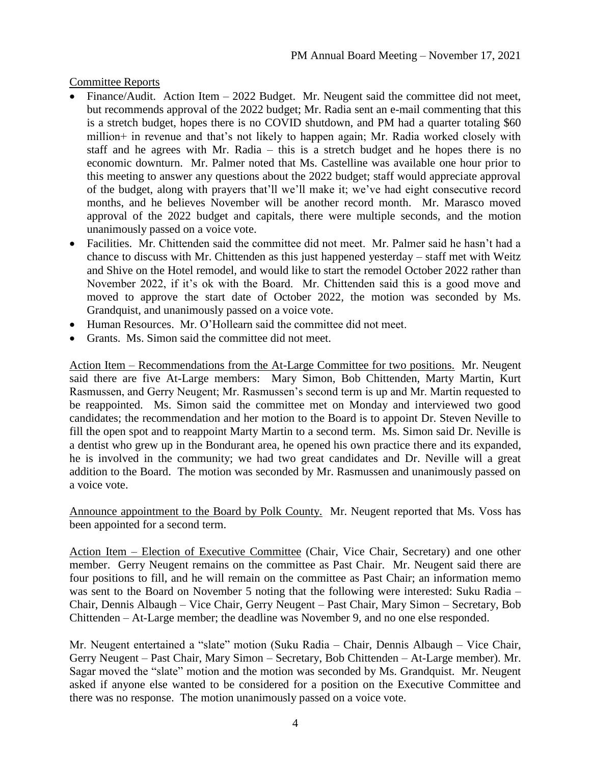Committee Reports

- Finance/Audit. Action Item 2022 Budget. Mr. Neugent said the committee did not meet, but recommends approval of the 2022 budget; Mr. Radia sent an e-mail commenting that this is a stretch budget, hopes there is no COVID shutdown, and PM had a quarter totaling \$60 million+ in revenue and that's not likely to happen again; Mr. Radia worked closely with staff and he agrees with Mr. Radia – this is a stretch budget and he hopes there is no economic downturn. Mr. Palmer noted that Ms. Castelline was available one hour prior to this meeting to answer any questions about the 2022 budget; staff would appreciate approval of the budget, along with prayers that'll we'll make it; we've had eight consecutive record months, and he believes November will be another record month. Mr. Marasco moved approval of the 2022 budget and capitals, there were multiple seconds, and the motion unanimously passed on a voice vote.
- Facilities. Mr. Chittenden said the committee did not meet. Mr. Palmer said he hasn't had a chance to discuss with Mr. Chittenden as this just happened yesterday – staff met with Weitz and Shive on the Hotel remodel, and would like to start the remodel October 2022 rather than November 2022, if it's ok with the Board. Mr. Chittenden said this is a good move and moved to approve the start date of October 2022, the motion was seconded by Ms. Grandquist, and unanimously passed on a voice vote.
- Human Resources. Mr. O'Hollearn said the committee did not meet.
- Grants. Ms. Simon said the committee did not meet.

Action Item – Recommendations from the At-Large Committee for two positions. Mr. Neugent said there are five At-Large members: Mary Simon, Bob Chittenden, Marty Martin, Kurt Rasmussen, and Gerry Neugent; Mr. Rasmussen's second term is up and Mr. Martin requested to be reappointed. Ms. Simon said the committee met on Monday and interviewed two good candidates; the recommendation and her motion to the Board is to appoint Dr. Steven Neville to fill the open spot and to reappoint Marty Martin to a second term. Ms. Simon said Dr. Neville is a dentist who grew up in the Bondurant area, he opened his own practice there and its expanded, he is involved in the community; we had two great candidates and Dr. Neville will a great addition to the Board. The motion was seconded by Mr. Rasmussen and unanimously passed on a voice vote.

Announce appointment to the Board by Polk County. Mr. Neugent reported that Ms. Voss has been appointed for a second term.

Action Item – Election of Executive Committee (Chair, Vice Chair, Secretary) and one other member. Gerry Neugent remains on the committee as Past Chair. Mr. Neugent said there are four positions to fill, and he will remain on the committee as Past Chair; an information memo was sent to the Board on November 5 noting that the following were interested: Suku Radia – Chair, Dennis Albaugh – Vice Chair, Gerry Neugent – Past Chair, Mary Simon – Secretary, Bob Chittenden – At-Large member; the deadline was November 9, and no one else responded.

Mr. Neugent entertained a "slate" motion (Suku Radia – Chair, Dennis Albaugh – Vice Chair, Gerry Neugent – Past Chair, Mary Simon – Secretary, Bob Chittenden – At-Large member). Mr. Sagar moved the "slate" motion and the motion was seconded by Ms. Grandquist. Mr. Neugent asked if anyone else wanted to be considered for a position on the Executive Committee and there was no response. The motion unanimously passed on a voice vote.